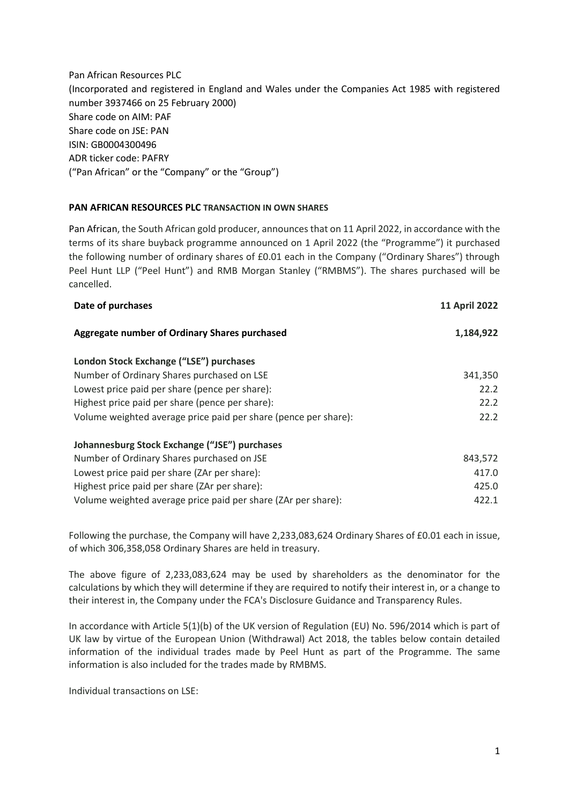Pan African Resources PLC (Incorporated and registered in England and Wales under the Companies Act 1985 with registered number 3937466 on 25 February 2000) Share code on AIM: PAF Share code on JSE: PAN ISIN: GB0004300496 ADR ticker code: PAFRY ("Pan African" or the "Company" or the "Group")

## **PAN AFRICAN RESOURCES PLC TRANSACTION IN OWN SHARES**

Pan African, the South African gold producer, announces that on 11 April 2022, in accordance with the terms of its share buyback programme announced on 1 April 2022 (the "Programme") it purchased the following number of ordinary shares of £0.01 each in the Company ("Ordinary Shares") through Peel Hunt LLP ("Peel Hunt") and RMB Morgan Stanley ("RMBMS"). The shares purchased will be cancelled.

| <b>11 April 2022</b> |
|----------------------|
| 1,184,922            |
|                      |
| 341,350              |
| 22.2                 |
| 22.2                 |
| 22.2                 |
|                      |
| 843,572              |
| 417.0                |
| 425.0                |
| 422.1                |
|                      |

Following the purchase, the Company will have 2,233,083,624 Ordinary Shares of £0.01 each in issue, of which 306,358,058 Ordinary Shares are held in treasury.

The above figure of 2,233,083,624 may be used by shareholders as the denominator for the calculations by which they will determine if they are required to notify their interest in, or a change to their interest in, the Company under the FCA's Disclosure Guidance and Transparency Rules.

In accordance with Article 5(1)(b) of the UK version of Regulation (EU) No. 596/2014 which is part of UK law by virtue of the European Union (Withdrawal) Act 2018, the tables below contain detailed information of the individual trades made by Peel Hunt as part of the Programme. The same information is also included for the trades made by RMBMS.

Individual transactions on LSE: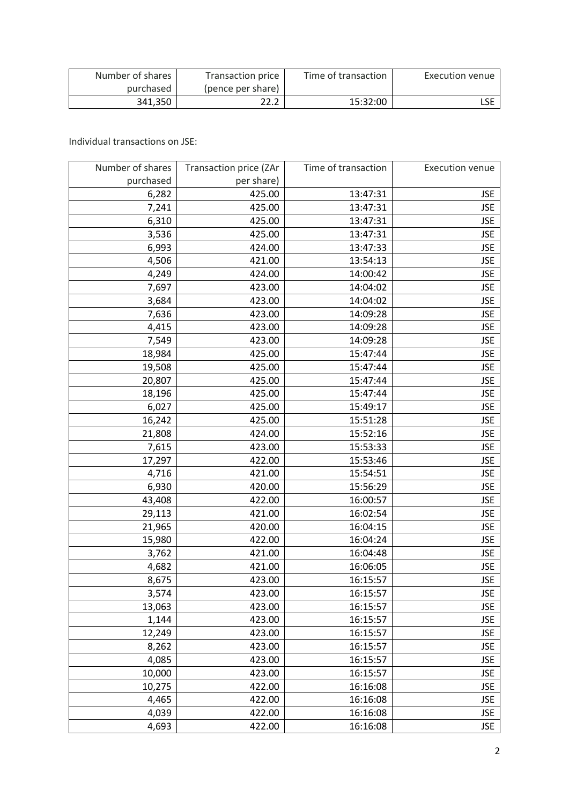| Number of shares | Transaction price | Time of transaction | Execution venue |
|------------------|-------------------|---------------------|-----------------|
| purchased        | (pence per share) |                     |                 |
| 341.350          | 22.2              | 15:32:00            |                 |

Individual transactions on JSE:

| Number of shares | Transaction price (ZAr | Time of transaction | <b>Execution venue</b> |
|------------------|------------------------|---------------------|------------------------|
| purchased        | per share)             |                     |                        |
| 6,282            | 425.00                 | 13:47:31            | <b>JSE</b>             |
| 7,241            | 425.00                 | 13:47:31            | <b>JSE</b>             |
| 6,310            | 425.00                 | 13:47:31            | <b>JSE</b>             |
| 3,536            | 425.00                 | 13:47:31            | <b>JSE</b>             |
| 6,993            | 424.00                 | 13:47:33            | <b>JSE</b>             |
| 4,506            | 421.00                 | 13:54:13            | <b>JSE</b>             |
| 4,249            | 424.00                 | 14:00:42            | <b>JSE</b>             |
| 7,697            | 423.00                 | 14:04:02            | <b>JSE</b>             |
| 3,684            | 423.00                 | 14:04:02            | <b>JSE</b>             |
| 7,636            | 423.00                 | 14:09:28            | <b>JSE</b>             |
| 4,415            | 423.00                 | 14:09:28            | <b>JSE</b>             |
| 7,549            | 423.00                 | 14:09:28            | <b>JSE</b>             |
| 18,984           | 425.00                 | 15:47:44            | <b>JSE</b>             |
| 19,508           | 425.00                 | 15:47:44            | <b>JSE</b>             |
| 20,807           | 425.00                 | 15:47:44            | <b>JSE</b>             |
| 18,196           | 425.00                 | 15:47:44            | <b>JSE</b>             |
| 6,027            | 425.00                 | 15:49:17            | <b>JSE</b>             |
| 16,242           | 425.00                 | 15:51:28            | <b>JSE</b>             |
| 21,808           | 424.00                 | 15:52:16            | <b>JSE</b>             |
| 7,615            | 423.00                 | 15:53:33            | <b>JSE</b>             |
| 17,297           | 422.00                 | 15:53:46            | <b>JSE</b>             |
| 4,716            | 421.00                 | 15:54:51            | <b>JSE</b>             |
| 6,930            | 420.00                 | 15:56:29            | <b>JSE</b>             |
| 43,408           | 422.00                 | 16:00:57            | <b>JSE</b>             |
| 29,113           | 421.00                 | 16:02:54            | <b>JSE</b>             |
| 21,965           | 420.00                 | 16:04:15            | <b>JSE</b>             |
| 15,980           | 422.00                 | 16:04:24            | <b>JSE</b>             |
| 3,762            | 421.00                 | 16:04:48            | <b>JSE</b>             |
| 4,682            | 421.00                 | 16:06:05            | <b>JSE</b>             |
| 8,675            | 423.00                 | 16:15:57            | <b>JSE</b>             |
| 3,574            | 423.00                 | 16:15:57            | <b>JSE</b>             |
| 13,063           | 423.00                 | 16:15:57            | <b>JSE</b>             |
| 1,144            | 423.00                 | 16:15:57            | <b>JSE</b>             |
| 12,249           | 423.00                 | 16:15:57            | <b>JSE</b>             |
| 8,262            | 423.00                 | 16:15:57            | <b>JSE</b>             |
| 4,085            | 423.00                 | 16:15:57            | <b>JSE</b>             |
| 10,000           | 423.00                 | 16:15:57            | <b>JSE</b>             |
| 10,275           | 422.00                 | 16:16:08            | <b>JSE</b>             |
| 4,465            | 422.00                 | 16:16:08            | <b>JSE</b>             |
| 4,039            | 422.00                 | 16:16:08            | <b>JSE</b>             |
| 4,693            | 422.00                 | 16:16:08            | <b>JSE</b>             |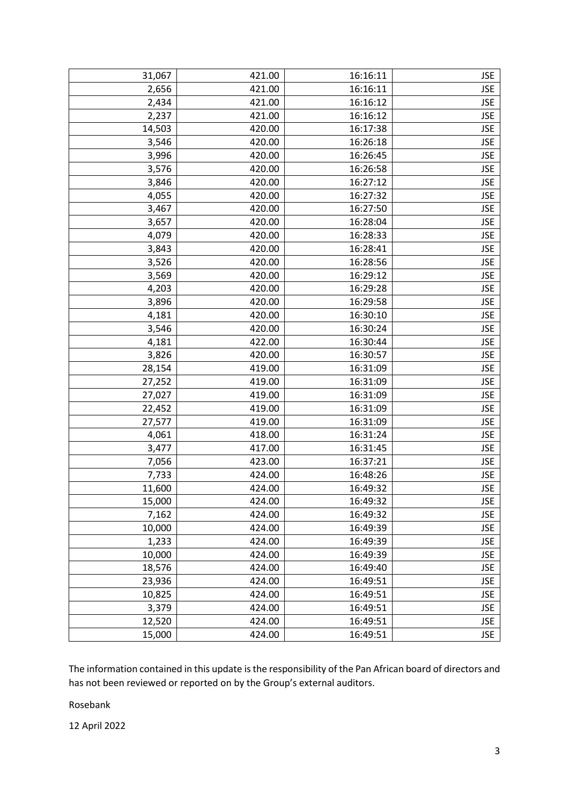| 31,067 | 421.00 | 16:16:11 | <b>JSE</b> |
|--------|--------|----------|------------|
| 2,656  | 421.00 | 16:16:11 | <b>JSE</b> |
| 2,434  | 421.00 | 16:16:12 | <b>JSE</b> |
| 2,237  | 421.00 | 16:16:12 | <b>JSE</b> |
| 14,503 | 420.00 | 16:17:38 | <b>JSE</b> |
| 3,546  | 420.00 | 16:26:18 | <b>JSE</b> |
| 3,996  | 420.00 | 16:26:45 | <b>JSE</b> |
| 3,576  | 420.00 | 16:26:58 | <b>JSE</b> |
| 3,846  | 420.00 | 16:27:12 | <b>JSE</b> |
| 4,055  | 420.00 | 16:27:32 | <b>JSE</b> |
| 3,467  | 420.00 | 16:27:50 | <b>JSE</b> |
| 3,657  | 420.00 | 16:28:04 | <b>JSE</b> |
| 4,079  | 420.00 | 16:28:33 | <b>JSE</b> |
| 3,843  | 420.00 | 16:28:41 | <b>JSE</b> |
| 3,526  | 420.00 | 16:28:56 | <b>JSE</b> |
| 3,569  | 420.00 | 16:29:12 | <b>JSE</b> |
| 4,203  | 420.00 | 16:29:28 | <b>JSE</b> |
| 3,896  | 420.00 | 16:29:58 | <b>JSE</b> |
| 4,181  | 420.00 | 16:30:10 | <b>JSE</b> |
| 3,546  | 420.00 | 16:30:24 | <b>JSE</b> |
| 4,181  | 422.00 | 16:30:44 | <b>JSE</b> |
| 3,826  | 420.00 | 16:30:57 | <b>JSE</b> |
| 28,154 | 419.00 | 16:31:09 | <b>JSE</b> |
| 27,252 | 419.00 | 16:31:09 | <b>JSE</b> |
| 27,027 | 419.00 | 16:31:09 | <b>JSE</b> |
| 22,452 | 419.00 | 16:31:09 | <b>JSE</b> |
| 27,577 | 419.00 | 16:31:09 | <b>JSE</b> |
| 4,061  | 418.00 | 16:31:24 | <b>JSE</b> |
| 3,477  | 417.00 | 16:31:45 | <b>JSE</b> |
| 7,056  | 423.00 | 16:37:21 | <b>JSE</b> |
| 7,733  | 424.00 | 16:48:26 | <b>JSE</b> |
| 11,600 | 424.00 | 16:49:32 | <b>JSE</b> |
| 15,000 | 424.00 | 16:49:32 | <b>JSE</b> |
| 7,162  | 424.00 | 16:49:32 | <b>JSE</b> |
| 10,000 | 424.00 | 16:49:39 | <b>JSE</b> |
| 1,233  | 424.00 | 16:49:39 | <b>JSE</b> |
| 10,000 | 424.00 | 16:49:39 | <b>JSE</b> |
| 18,576 | 424.00 | 16:49:40 | <b>JSE</b> |
| 23,936 | 424.00 | 16:49:51 | <b>JSE</b> |
| 10,825 | 424.00 | 16:49:51 | <b>JSE</b> |
| 3,379  | 424.00 | 16:49:51 | <b>JSE</b> |
| 12,520 | 424.00 | 16:49:51 | <b>JSE</b> |
| 15,000 | 424.00 | 16:49:51 | <b>JSE</b> |
|        |        |          |            |

The information contained in this update is the responsibility of the Pan African board of directors and has not been reviewed or reported on by the Group's external auditors.

Rosebank

12 April 2022